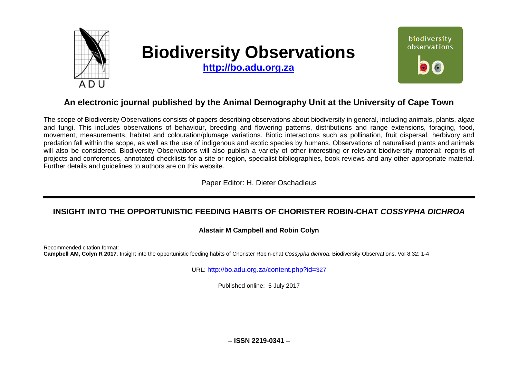

# **Biodiversity Observations**

**[http://bo.adu.org.za](http://bo.adu.org.za/)**



# **An electronic journal published by the Animal Demography Unit at the University of Cape Town**

The scope of Biodiversity Observations consists of papers describing observations about biodiversity in general, including animals, plants, algae and fungi. This includes observations of behaviour, breeding and flowering patterns, distributions and range extensions, foraging, food, movement, measurements, habitat and colouration/plumage variations. Biotic interactions such as pollination, fruit dispersal, herbivory and predation fall within the scope, as well as the use of indigenous and exotic species by humans. Observations of naturalised plants and animals will also be considered. Biodiversity Observations will also publish a variety of other interesting or relevant biodiversity material: reports of projects and conferences, annotated checklists for a site or region, specialist bibliographies, book reviews and any other appropriate material. Further details and guidelines to authors are on this website.

Paper Editor: H. Dieter Oschadleus

## **INSIGHT INTO THE OPPORTUNISTIC FEEDING HABITS OF CHORISTER ROBIN-CHAT** *COSSYPHA DICHROA*

## **Alastair M Campbell and Robin Colyn**

Recommended citation format: **Campbell AM, Colyn R 2017**. Insight into the opportunistic feeding habits of Chorister Robin-chat *Cossypha dichroa*. Biodiversity Observations, Vol 8.32: 1-4

URL: [http://bo.adu.org.za/content.php?id=](http://bo.adu.org.za/content.php?id=327)327

Published online: 5 July 2017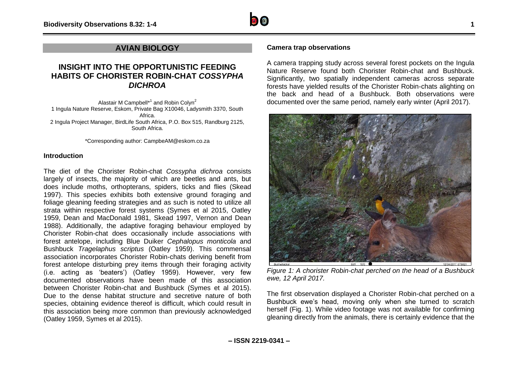

## **AVIAN BIOLOGY**

## **INSIGHT INTO THE OPPORTUNISTIC FEEDING HABITS OF CHORISTER ROBIN-CHAT** *COSSYPHA DICHROA*

Alastair M Campbell<sup>\*1</sup> and Robin Colyn<sup>2</sup> 1 Ingula Nature Reserve, Eskom, Private Bag X10046, Ladysmith 3370, South Africa. 2 Ingula Project Manager, BirdLife South Africa, P.O. Box 515, Randburg 2125, South Africa.

\*Corresponding author: CampbeAM@eskom.co.za

#### **Introduction**

The diet of the Chorister Robin-chat *Cossypha dichroa* consists largely of insects, the majority of which are beetles and ants, but does include moths, orthopterans, spiders, ticks and flies (Skead 1997). This species exhibits both extensive ground foraging and foliage gleaning feeding strategies and as such is noted to utilize all strata within respective forest systems (Symes et al 2015, Oatley 1959, Dean and MacDonald 1981, Skead 1997, Vernon and Dean 1988). Additionally, the adaptive foraging behaviour employed by Chorister Robin-chat does occasionally include associations with forest antelope, including Blue Duiker *Cephalopus monticola* and Bushbuck *Tragelaphus scriptus* (Oatley 1959). This commensal association incorporates Chorister Robin-chats deriving benefit from forest antelope disturbing prey items through their foraging activity (i.e. acting as 'beaters') (Oatley 1959). However, very few documented observations have been made of this association between Chorister Robin-chat and Bushbuck (Symes et al 2015). Due to the dense habitat structure and secretive nature of both species, obtaining evidence thereof is difficult, which could result in this association being more common than previously acknowledged (Oatley 1959, Symes et al 2015).

### **Camera trap observations**

A camera trapping study across several forest pockets on the Ingula Nature Reserve found both Chorister Robin-chat and Bushbuck. Significantly, two spatially independent cameras across separate forests have yielded results of the Chorister Robin-chats alighting on the back and head of a Bushbuck. Both observations were documented over the same period, namely early winter (April 2017).



*Figure 1: A chorister Robin-chat perched on the head of a Bushbuck ewe, 12 April 2017.*

The first observation displayed a Chorister Robin-chat perched on a Bushbuck ewe's head, moving only when she turned to scratch herself (Fig. 1). While video footage was not available for confirming gleaning directly from the animals, there is certainly evidence that the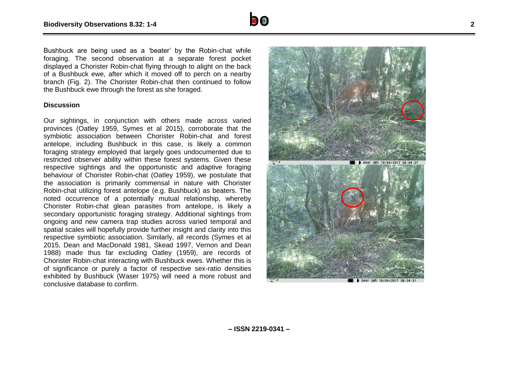

Bushbuck are being used as a 'beater' by the Robin -chat while foraging. The second observation at a separate forest pocket displayed a Chorister Robin -chat flying through to alight on the back of a Bushbuck ewe, after which it moved off to perch on a nearby branch (Fig. 2). The Chorister Robin -chat then continued to follow the Bushbuck ewe through the forest as she foraged.

#### **Discussion**

Our sightings, in conjunction with others made across varied provinces (Oatley 1959, Symes et al 2015), corroborate that the symbiotic association between Chorister Robin -chat and forest antelope, including Bushbuck in this case, is likely a common foraging strategy employed that largely goes undocumented due to restricted observer ability within these forest systems. Given these respective sightings and the opportunistic and adaptive foraging behaviour of Chorister Robin-chat (Oatley 1959), we postulate that the association is primarily commensal in nature with Chorister Robin -chat utilizing forest antelope (e.g. Bushbuck) as beaters. The noted occurrence of a potentially mutual relationship, whereby Chorister Robin -chat glean parasites from antelope, is likely a secondary opportunistic foraging strategy. Additional sightings from ongoing and new camera trap studies across varied temporal and spatial scales will hopefully provide further insight and clarity into this respective symbiotic association. Similarly, all records (Symes et al 2015, Dean and MacDonald 1981, Skead 1997, Vernon and Dean 1988) made thus far excluding Oatley (1959), are records of Chorister Robin -chat interacting with Bushbuck ewes. Whether this is of significance or purely a factor of respective sex -ratio densities exhibited by Bushbuck (Waser 1975) will need a more robust and conclusive database to confirm.

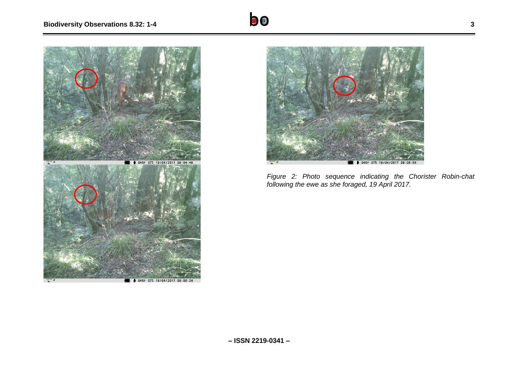



*Figure 2: Photo sequence indicating the Chorister Robin-chat following the ewe as she foraged, 19 April 2017.*